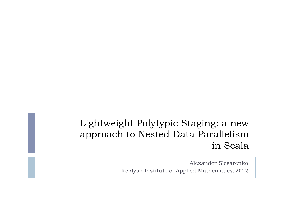#### Lightweight Polytypic Staging: a new approach to Nested Data Parallelism in Scala

Alexander Slesarenko Keldysh Institute of Applied Mathematics, 2012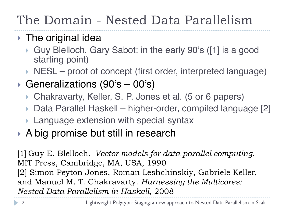## The Domain - Nested Data Parallelism

#### $\triangleright$  The original idea

- ▶ Guy Blelloch, Gary Sabot: in the early 90's ([1] is a good starting point)
- $\triangleright$  NESL proof of concept (first order, interpreted language)
- ▶ Generalizations (90's 00's)
	- ▶ Chakravarty, Keller, S. P. Jones et al. (5 or 6 papers)
	- ▶ Data Parallel Haskell higher-order, compiled language [2]
	- **Language extension with special syntax**
- ▶ A big promise but still in research

[1] Guy E. Blelloch. *Vector models for data-parallel computing.*  MIT Press, Cambridge, MA, USA, 1990 [2] Simon Peyton Jones, Roman Leshchinskiy, Gabriele Keller, and Manuel M. T. Chakravarty. *Harnessing the Multicores: Nested Data Parallelism in Haskell*, 2008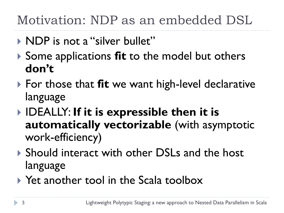Motivation: NDP as an embedded DSL

- ▶ NDP is not a "silver bullet"
- **▶ Some applications fit to the model but others don't**
- ▶ For those that **fit** we want high-level declarative language
- IDEALLY: **If it is expressible then it is automatically vectorizable** (with asymptotic work-efficiency)
- ▶ Should interact with other DSLs and the host language
- ▶ Yet another tool in the Scala toolbox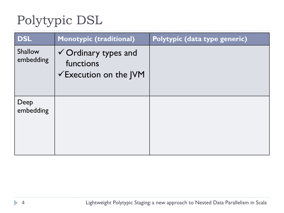| <b>DSL</b>                  | <b>Monotypic (traditional)</b>                                                    | Polytypic (data type generic) |
|-----------------------------|-----------------------------------------------------------------------------------|-------------------------------|
| <b>Shallow</b><br>embedding | $\checkmark$ Ordinary types and<br>functions<br>$\checkmark$ Execution on the JVM |                               |
| Deep<br>embedding           |                                                                                   |                               |

 $\blacktriangleright$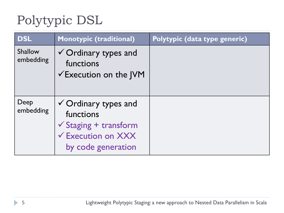| <b>DSL</b>           | <b>Monotypic (traditional)</b>                                                                                                          | Polytypic (data type generic) |
|----------------------|-----------------------------------------------------------------------------------------------------------------------------------------|-------------------------------|
| Shallow<br>embedding | $\checkmark$ Ordinary types and<br>functions<br>$\checkmark$ Execution on the JVM                                                       |                               |
| Deep<br>embedding    | $\checkmark$ Ordinary types and<br>functions<br>$\checkmark$ Staging + transform<br>$\checkmark$ Execution on XXX<br>by code generation |                               |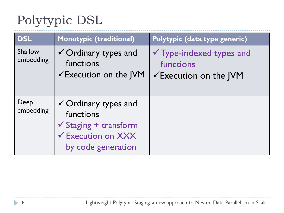| <b>DSL</b>           | <b>Monotypic (traditional)</b>                                                                                                          | Polytypic (data type generic)                                                         |
|----------------------|-----------------------------------------------------------------------------------------------------------------------------------------|---------------------------------------------------------------------------------------|
| Shallow<br>embedding | $\checkmark$ Ordinary types and<br>functions<br>$\checkmark$ Execution on the JVM                                                       | $\checkmark$ Type-indexed types and<br>functions<br>$\checkmark$ Execution on the JVM |
| Deep<br>embedding    | $\checkmark$ Ordinary types and<br>functions<br>$\checkmark$ Staging + transform<br>$\checkmark$ Execution on XXX<br>by code generation |                                                                                       |

h,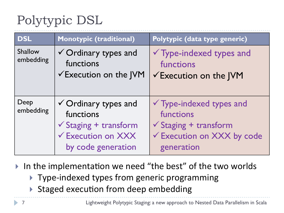| <b>DSL</b>           | Monotypic (traditional)                                                                                                             | Polytypic (data type generic)                                                                                                    |
|----------------------|-------------------------------------------------------------------------------------------------------------------------------------|----------------------------------------------------------------------------------------------------------------------------------|
| Shallow<br>embedding | √ Ordinary types and<br>functions<br>$\checkmark$ Execution on the JVM                                                              | $\checkmark$ Type-indexed types and<br>functions<br>√Execution on the JVM                                                        |
| Deep<br>embedding    | $\checkmark$ Ordinary types and<br>functions<br>$\checkmark$ Staging + transform<br><b>√ Execution on XXX</b><br>by code generation | $\checkmark$ Type-indexed types and<br>functions<br>$\checkmark$ Staging + transform<br>√ Execution on XXX by code<br>generation |

In the implementation we need "the best" of the two worlds

- ▶ Type-indexed types from generic programming
- $\blacktriangleright$  Staged execution from deep embedding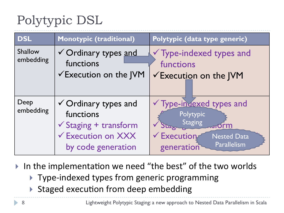| <b>DSL</b>           | <b>Monotypic (traditional)</b>                                                                                    | Polytypic (data type generic)                                                                                                                     |
|----------------------|-------------------------------------------------------------------------------------------------------------------|---------------------------------------------------------------------------------------------------------------------------------------------------|
| Shallow<br>embedding | √ Ordinary types and<br>functions<br>$\checkmark$ Execution on the JVM                                            | $\checkmark$ Type-indexed types and<br>functions<br><del>V</del> Execution on the JVM                                                             |
| Deep<br>embedding    | √ Ordinary types and<br>functions<br>$\checkmark$ Staging + transform<br>← Execution on XXX<br>by code generation | V Type-invexed types and<br>Polytypic<br><b>Staging</b><br><u>எ</u> orm<br>Stagne<br>Execution<br><b>Nested Data</b><br>Parallelism<br>generation |

In the implementation we need "the best" of the two worlds

- ▶ Type-indexed types from generic programming
- $\triangleright$  Staged execution from deep embedding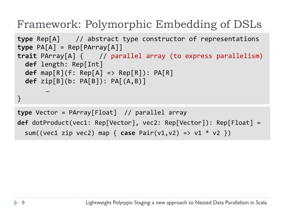#### Framework: Polymorphic Embedding of DSLs

```
type Rep[A] // abstract type constructor of representations
type PA[A] = Rep[PArray[A]]trait PArray[A] { // parallel array (to express parallelism)
 		def	length:	Rep[Int]	
  		def	map[R](f:	Rep[A]	=>	Rep[R]):	PA[R]	
  		def	zip[B](b:	PA[B]):	PA[(A,B)]	
       …	
}
type Vector = PArray[Float] // parallel array
```

```
def dotProduct(vec1: Rep[Vector], vec2: Rep[Vector]): Rep[Float] =
  sum((vec1 zip vec2) map { case Pair(v1,v2) => v1 * v2 })
```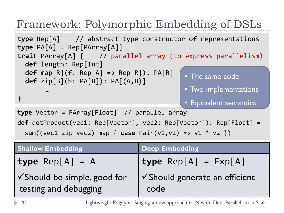## Framework: Polymorphic Embedding of DSLs

**type** Vector = PArray[Float] // parallel array **type** Rep[A] // abstract type constructor of representations **type** PA[A] = Rep[PArray[A]] **trait** PArray[A] { // parallel array (to express parallelism) **def** length: Rep[Int]  $\text{def map}[R](f: Rep[A] \Rightarrow Rep[R])$ :  $\text{PA}[R]$  **def** zip[B](b: PA[B]): PA[(A,B)] … } • The same code • Two implementations • Equivalent semantics

```
def dotProduct(vec1: Rep[Vector], vec2: Rep[Vector]): Rep[Float] =
```
sum((vec1 zip vec2) map { case Pair(v1,v2) => v1 \* v2 })

| <b>Shallow Embedding</b>                             | <b>Deep Embedding</b>                             |
|------------------------------------------------------|---------------------------------------------------|
| type $Rep[A] = A$                                    | $\text{type Rep}[A] = \text{Exp}[A]$              |
| √Should be simple, good for<br>testing and debugging | $\checkmark$ Should generate an efficient<br>code |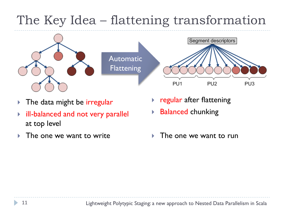## The Key Idea – flattening transformation



- ▶ The data might be irregular
- ill-balanced and not very parallel at top level
- 
- regular after flattening
- Balanced chunking
- The one we want to write  $\longrightarrow$  The one we want to run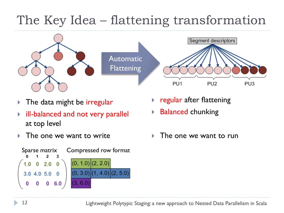## The Key Idea – flattening transformation



- The data might be irregular
- ill-balanced and not very parallel at top level
- 



- regular after flattening
- Balanced chunking
- The one we want to write  $\longrightarrow$  The one we want to run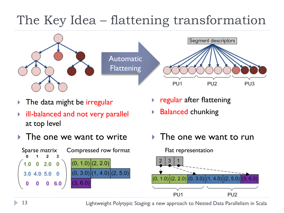## The Key Idea – flattening transformation



- The data might be *irregular*
- ill-balanced and not very parallel at top level
- $\triangleright$  The one we want to write  $\triangleright$  The one we want to run



- regular after flattening
- Balanced chunking
- 

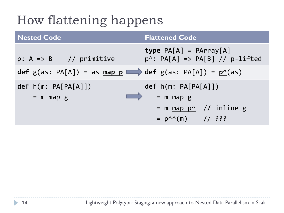## How flattening happens

| <b>Nested Code</b>                                                                | <b>Flattened Code</b>                                                                                     |
|-----------------------------------------------------------------------------------|-----------------------------------------------------------------------------------------------------------|
| $p: A \Rightarrow B$ // primitive                                                 | <b>type</b> $PA[A] = PArray[A]$<br>$p^{\wedge}$ : PA[A] => PA[B] // p-lifted                              |
| def g(as: PA[A]) = as map $p \longrightarrow$ def g(as: PA[A]) = $p^{\wedge}(as)$ |                                                                                                           |
| def h(m: PA[PA[A]])<br>$=$ m map g                                                | def h(m: PA[PA[A]])<br>$=$ m map g<br>= m $map p^{\wedge}$ // inline g<br>$= p^{\wedge \wedge}(m)$ // ??? |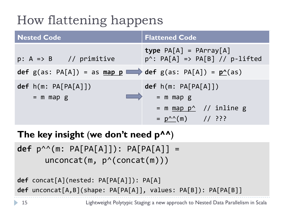## How flattening happens

| <b>Nested Code</b>                                        | <b>Flattened Code</b>                                                                                                        |
|-----------------------------------------------------------|------------------------------------------------------------------------------------------------------------------------------|
| $p: A \Rightarrow B$ // primitive                         | <b>type</b> $PA[A] = PArray[A]$<br>$p^*$ : PA[A] => PA[B] // p-lifted                                                        |
| def $g(as: PA[A]) = as map p$ def $g(as: PA[A]) = p^(as)$ |                                                                                                                              |
| def h(m: PA[PA[A]])<br>$=$ m map g                        | def h(m: PA[PA[A]])<br>$=$ m map g<br>= m <u>map <math>p^{\wedge}</math></u> // inline g<br>$= p^{\wedge \wedge} (m)$ // ??? |

#### **The key insight** (**we don't need p^^**)

**def**  $p^{\wedge \wedge}(m: PA[PA[A]]): PA[PA[A]] =$ unconcat(m,  $p^{\wedge}(\text{concat}(m)))$ )

**def** concat[A](nested: PA[PA[A]]): PA[A] **def** unconcat[A,B](shape: PA[PA[A]], values: PA[B]): PA[PA[B]]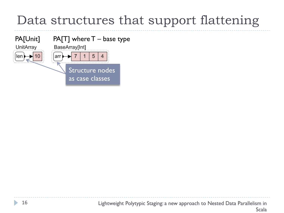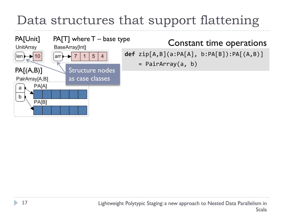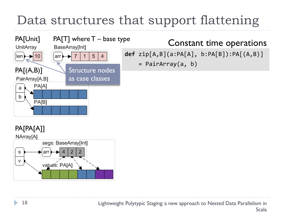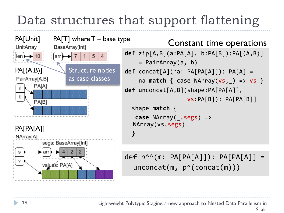$PA[Unit]$  PA $[TT]$  where  $T -$  base type BaseArray[Int] UnitArray  $\blacktriangleright$  7  $len \rightarrow 10$ arr  $PA[(A,B)]$ Structure nodes as case classes PairArray[A,B] PA[A] b PA[B] PA[PA[A]] NArray[A] segs: BaseArray[Int] s values: PA[A]

#### Constant time operations

```
def	zip[A,B](a:PA[A],	b:PA[B]):PA[(A,B)]		
    = PairArray(a, b)
def concat[A](na: PA[PA[A]]): PA[A] =
    na match { case NArray(vs, ) => vs }
def unconcat[A,B](shape:PA[PA[A]],		
                   vs:PA[B]): PA[PA[B]] =shape match {
   			case NArray(_,segs)	=>	
  NArray(vs,segs)		
		}
```
def  $p^{\wedge \wedge}(m: PA[PA[A]]): PA[PA[A]] =$  $unconcat(m, p^(concat(m)))$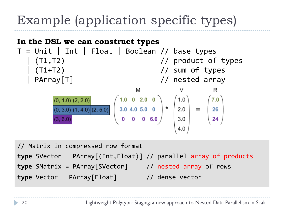## Example (application specific types)



```
type SVector = PArray[(Int,Float)] // parallel array of products
type SMatrix = PArray[SVector] // nested array of rows
```
**type** Vector = PArray[Float] // dense vector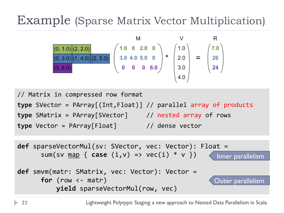#### Example (Sparse Matrix Vector Multiplication)



```
//	Matrix	in	compressed	row	format	
type SVector = PArray[(Int,Float)] // parallel array of products
type SMatrix = PArray[SVector] // nested array of rows
type Vector = PArray[Float] // dense vector
```

```
def sparseVectorMul(sv: SVector, vec: Vector): Float =
      sum(sv map \{ case (i,v) \Rightarrow vec(i) * v \})
def smvm(matr: SMatrix, vec: Vector): Vector =
      for (row <- matr)
           yield sparseVectorMul(row, vec)
                                                         Inner parallelism
                                                        Outer parallelism
```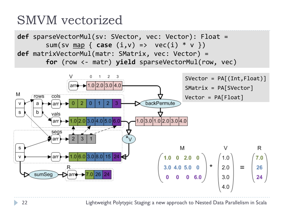#### SMVM vectorized

def sparseVectorMul(sv: SVector, vec: Vector): Float = sum(sv  $map \{ case (i,v) \Rightarrow vec(i) * v \}$ ) def matrixVectorMul(matr: SMatrix, vec: Vector) = for (row <- matr) yield sparseVectorMul(row, vec)

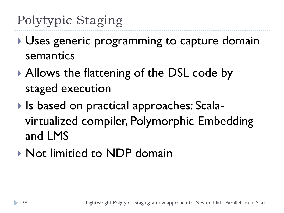## Polytypic Staging

- Uses generic programming to capture domain semantics
- Allows the flattening of the DSL code by staged execution
- ▶ Is based on practical approaches: Scalavirtualized compiler, Polymorphic Embedding and LMS
- **Not limitied to NDP domain**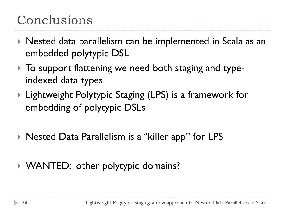### Conclusions

- Nested data parallelism can be implemented in Scala as an embedded polytypic DSL
- $\triangleright$  To support flattening we need both staging and typeindexed data types
- ▶ Lightweight Polytypic Staging (LPS) is a framework for embedding of polytypic DSLs
- ▶ Nested Data Parallelism is a "killer app" for LPS
- WANTED: other polytypic domains?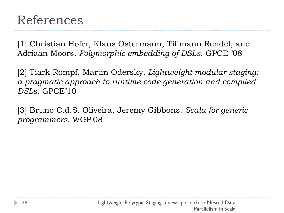[1] Christian Hofer, Klaus Ostermann, Tillmann Rendel, and Adriaan Moors. *Polymorphic embedding of DSLs*. GPCE '08

[2] Tiark Rompf, Martin Odersky. *Lightweight modular staging: a pragmatic approach to runtime code generation and compiled DSLs*. GPCE'10

[3] Bruno C.d.S. Oliveira, Jeremy Gibbons. *Scala for generic programmers.* WGP'08